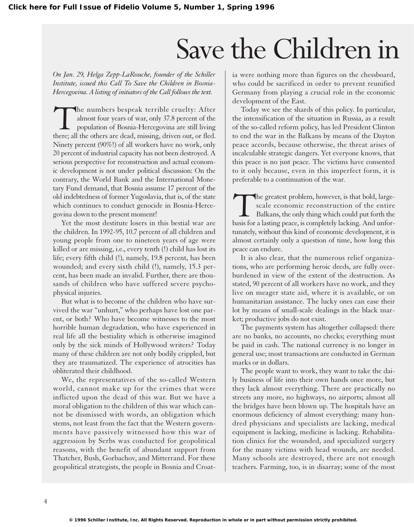## Save the Children in

*On Jan. 29, Helga Zepp-LaRouche, founder of the Schiller Institute, issued this Call To Save the Children in Bosnia-Hercegovina. A listing of initiators of the Call follows the text.* 

The numbers bespeak terrible cruelty: After almost four years of war, only 37.8 percent of the population of Bosnia-Hercegovina are still living there; all the others are dead, missing, driven out, or fled. almost four years of war, only 37.8 percent of the population of Bosnia-Hercegovina are still living Ninety percent (90%!) of all workers have no work, only 20 percent of industrial capacity has not been destroyed. A serious perspective for reconstruction and actual economic development is not under political discussion: On the contrary, the World Bank and the International Monetary Fund demand, that Bosnia assume 17 percent of the old indebtedness of former Yugoslavia, that is, of the state which continues to conduct genocide in Bosnia-Hercegovina down to the present moment!

Yet the most destitute losers in this bestial war are the children. In 1992-95, 10.7 percent of all children and young people from one to nineteen years of age were killed or are missing, i.e., every tenth (!) child has lost its life; every fifth child (!), namely, 19.8 percent, has been wounded; and every sixth child (!), namely, 15.3 percent, has been made an invalid. Further, there are thousands of children who have suffered severe psychophysical injuries.

But what is to become of the children who have survived the war "unhurt," who perhaps have lost one parent, or both? Who have become witnesses to the most horrible human degradation, who have experienced in real life all the bestiality which is otherwise imagined only by the sick minds of Hollywood writers? Today many of these children are not only bodily crippled, but they are traumatized. The experience of atrocities has obliterated their childhood.

We, the representatives of the so-called Western world, cannot make up for the crimes that were inflicted upon the dead of this war. But we have a moral obligation to the children of this war which cannot be dismissed with words, an obligation which stems, not least from the fact that the Western governments have passively witnessed how this war of aggression by Serbs was conducted for geopolitical reasons, with the benefit of abundant support from Thatcher, Bush, Gorbachov, and Mitterrand. For these geopolitical strategists, the people in Bosnia and Croat-

ia were nothing more than figures on the chessboard, who could be sacrificed in order to prevent reunified Germany from playing a crucial role in the economic development of the East.

Today we see the shards of this policy. In particular, the intensification of the situation in Russia, as a result of the so-called reform policy, has led President Clinton to end the war in the Balkans by means of the Dayton peace accords, because otherwise, the threat arises of incalculable strategic dangers. Yet everyone knows, that this peace is no just peace. The victims have consented to it only because, even in this imperfect form, it is preferable to a continuation of the war.

The greatest problem, however, is that bold, large-<br>scale economic reconstruction of the entire<br>Balkans, the only thing which could put forth the<br>basis for a lasting peace, is completely lacking. And unforscale economic reconstruction of the entire Balkans, the only thing which could put forth the basis for a lasting peace, is completely lacking. And unfortunately, without this kind of economic development, it is almost certainly only a question of time, how long this peace can endure.

It is also clear, that the numerous relief organizations, who are performing heroic deeds, are fully overburdened in view of the extent of the destruction. As stated, 90 percent of all workers have no work, and they live on meager state aid, where it is available, or on humanitarian assistance. The lucky ones can ease their lot by means of small-scale dealings in the black market; productive jobs do not exist.

The payments system has altogether collapsed: there are no banks, no accounts, no checks; everything must be paid in cash. The national currency is no longer in general use; most transactions are conducted in German marks or in dollars.

The people want to work, they want to take the daily business of life into their own hands once more, but they lack almost everything. There are practically no streets any more, no highways, no airports; almost all the bridges have been blown up. The hospitals have an enormous deficiency of almost everything: many hundred physicians and specialists are lacking, medical equipment is lacking, medicine is lacking. Rehabilitation clinics for the wounded, and specialized surgery for the many victims with head wounds, are needed. Many schools are destroyed, there are not enough teachers. Farming, too, is in disarray; some of the most